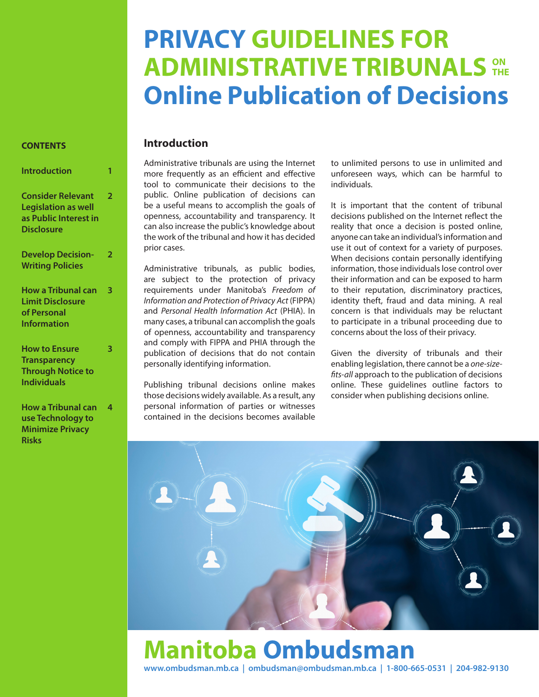# **PRIVACY GUIDELINES FOR ADMINISTRATIVE TRIBUNALS Online Publication of Decisions THE**

#### **CONTENTS**

| Introduction                                                                                         |   |
|------------------------------------------------------------------------------------------------------|---|
| <b>Consider Relevant</b><br><b>Legislation as well</b><br>as Public Interest in<br><b>Disclosure</b> | フ |
| <b>Develop Decision-</b><br><b>Writing Policies</b>                                                  | フ |
| How a Tribunal can<br>Limit Disclosure<br>of Personal<br><b>Information</b>                          | 3 |
| <b>How to Ensure</b>                                                                                 |   |

| <b>Transparency</b>      |  |
|--------------------------|--|
| <b>Through Notice to</b> |  |
| <b>Individuals</b>       |  |
|                          |  |

| <b>How a Tribunal can</b> | 4 |
|---------------------------|---|
| use Technology to         |   |
| <b>Minimize Privacy</b>   |   |
| Risks                     |   |

### **Introduction**

Administrative tribunals are using the Internet more frequently as an efficient and effective tool to communicate their decisions to the public. Online publication of decisions can be a useful means to accomplish the goals of openness, accountability and transparency. It can also increase the public's knowledge about the work of the tribunal and how it has decided prior cases.

Administrative tribunals, as public bodies, are subject to the protection of privacy requirements under Manitoba's *Freedom of Information and Protection of Privacy Act* (FIPPA) and *Personal Health Information Act* (PHIA). In many cases, a tribunal can accomplish the goals of openness, accountability and transparency and comply with FIPPA and PHIA through the publication of decisions that do not contain personally identifying information.

Publishing tribunal decisions online makes those decisions widely available. As a result, any personal information of parties or witnesses contained in the decisions becomes available

to unlimited persons to use in unlimited and unforeseen ways, which can be harmful to individuals.

It is important that the content of tribunal decisions published on the Internet reflect the reality that once a decision is posted online, anyone can take an individual's information and use it out of context for a variety of purposes. When decisions contain personally identifying information, those individuals lose control over their information and can be exposed to harm to their reputation, discriminatory practices, identity theft, fraud and data mining. A real concern is that individuals may be reluctant to participate in a tribunal proceeding due to concerns about the loss of their privacy.

Given the diversity of tribunals and their enabling legislation, there cannot be a *one-sizefits-all* approach to the publication of decisions online. These guidelines outline factors to consider when publishing decisions online.



## **www.ombudsman.mb.ca | ombudsman@ombudsman.mb.ca | 1-800-665-0531 | 204-982-9130 Manitoba Ombudsman**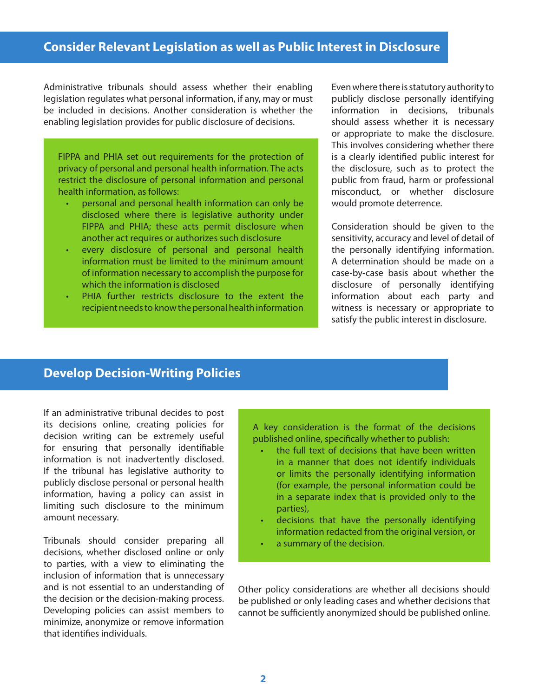### **Consider Relevant Legislation as well as Public Interest in Disclosure**

Administrative tribunals should assess whether their enabling legislation regulates what personal information, if any, may or must be included in decisions. Another consideration is whether the enabling legislation provides for public disclosure of decisions.

FIPPA and PHIA set out requirements for the protection of privacy of personal and personal health information. The acts restrict the disclosure of personal information and personal health information, as follows:

- personal and personal health information can only be disclosed where there is legislative authority under FIPPA and PHIA; these acts permit disclosure when another act requires or authorizes such disclosure
- every disclosure of personal and personal health information must be limited to the minimum amount of information necessary to accomplish the purpose for which the information is disclosed
- PHIA further restricts disclosure to the extent the recipient needs to know the personal health information

Even where there is statutory authority to publicly disclose personally identifying information in decisions, tribunals should assess whether it is necessary or appropriate to make the disclosure. This involves considering whether there is a clearly identified public interest for the disclosure, such as to protect the public from fraud, harm or professional misconduct, or whether disclosure would promote deterrence.

Consideration should be given to the sensitivity, accuracy and level of detail of the personally identifying information. A determination should be made on a case-by-case basis about whether the disclosure of personally identifying information about each party and witness is necessary or appropriate to satisfy the public interest in disclosure.

#### **Develop Decision-Writing Policies**

If an administrative tribunal decides to post its decisions online, creating policies for decision writing can be extremely useful for ensuring that personally identifiable information is not inadvertently disclosed. If the tribunal has legislative authority to publicly disclose personal or personal health information, having a policy can assist in limiting such disclosure to the minimum amount necessary.

Tribunals should consider preparing all decisions, whether disclosed online or only to parties, with a view to eliminating the inclusion of information that is unnecessary and is not essential to an understanding of the decision or the decision-making process. Developing policies can assist members to minimize, anonymize or remove information that identifies individuals.

A key consideration is the format of the decisions published online, specifically whether to publish:

- the full text of decisions that have been written in a manner that does not identify individuals or limits the personally identifying information (for example, the personal information could be in a separate index that is provided only to the parties),
- decisions that have the personally identifying information redacted from the original version, or
- a summary of the decision.

Other policy considerations are whether all decisions should be published or only leading cases and whether decisions that cannot be sufficiently anonymized should be published online.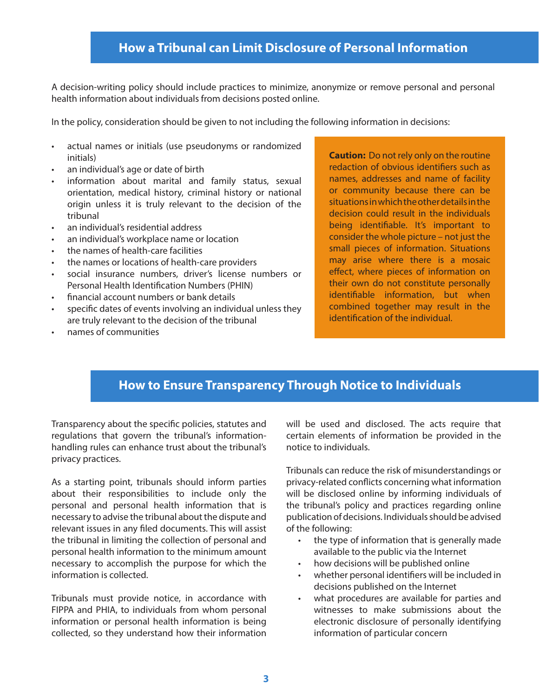## **How a Tribunal can Limit Disclosure of Personal Information**

A decision-writing policy should include practices to minimize, anonymize or remove personal and personal health information about individuals from decisions posted online.

In the policy, consideration should be given to not including the following information in decisions:

- • actual names or initials (use pseudonyms or randomized initials)
- an individual's age or date of birth
- information about marital and family status, sexual orientation, medical history, criminal history or national origin unless it is truly relevant to the decision of the tribunal
- an individual's residential address
- an individual's workplace name or location
- the names of health-care facilities
- the names or locations of health-care providers
- social insurance numbers, driver's license numbers or Personal Health Identification Numbers (PHIN)
- financial account numbers or bank details
- specific dates of events involving an individual unless they are truly relevant to the decision of the tribunal
- names of communities

**Caution:** Do not rely only on the routine redaction of obvious identifiers such as names, addresses and name of facility or community because there can be situations in which the other details in the decision could result in the individuals being identifiable. It's important to consider the whole picture – not just the small pieces of information. Situations may arise where there is a mosaic effect, where pieces of information on their own do not constitute personally identifiable information, but when combined together may result in the identification of the individual.

## **How to Ensure Transparency Through Notice to Individuals**

Transparency about the specific policies, statutes and regulations that govern the tribunal's informationhandling rules can enhance trust about the tribunal's privacy practices.

As a starting point, tribunals should inform parties about their responsibilities to include only the personal and personal health information that is necessary to advise the tribunal about the dispute and relevant issues in any filed documents. This will assist the tribunal in limiting the collection of personal and personal health information to the minimum amount necessary to accomplish the purpose for which the information is collected.

Tribunals must provide notice, in accordance with FIPPA and PHIA, to individuals from whom personal information or personal health information is being collected, so they understand how their information

will be used and disclosed. The acts require that certain elements of information be provided in the notice to individuals.

Tribunals can reduce the risk of misunderstandings or privacy-related conflicts concerning what information will be disclosed online by informing individuals of the tribunal's policy and practices regarding online publication of decisions. Individuals should be advised of the following:

- • the type of information that is generally made available to the public via the Internet
- • how decisions will be published online
- whether personal identifiers will be included in decisions published on the Internet
- • what procedures are available for parties and witnesses to make submissions about the electronic disclosure of personally identifying information of particular concern